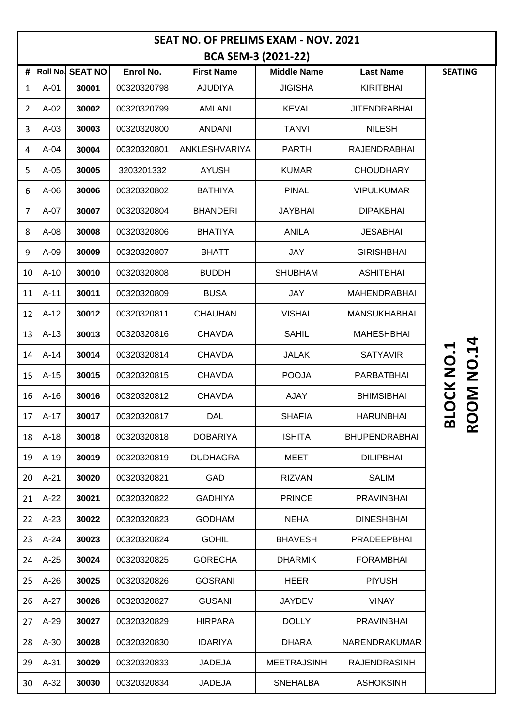| <b>SEAT NO. OF PRELIMS EXAM - NOV. 2021</b> |                 |                |             |                   |                    |                      |                                |  |
|---------------------------------------------|-----------------|----------------|-------------|-------------------|--------------------|----------------------|--------------------------------|--|
| <b>BCA SEM-3 (2021-22)</b>                  |                 |                |             |                   |                    |                      |                                |  |
| #                                           | <b>Roll No.</b> | <b>SEAT NO</b> | Enrol No.   | <b>First Name</b> | <b>Middle Name</b> | <b>Last Name</b>     | <b>SEATING</b>                 |  |
| $\mathbf{1}$                                | $A-01$          | 30001          | 00320320798 | <b>AJUDIYA</b>    | <b>JIGISHA</b>     | <b>KIRITBHAI</b>     |                                |  |
| $\overline{2}$                              | $A-02$          | 30002          | 00320320799 | AMLANI            | <b>KEVAL</b>       | <b>JITENDRABHAI</b>  |                                |  |
| 3                                           | $A-03$          | 30003          | 00320320800 | <b>ANDANI</b>     | <b>TANVI</b>       | <b>NILESH</b>        |                                |  |
| 4                                           | $A-04$          | 30004          | 00320320801 | ANKLESHVARIYA     | <b>PARTH</b>       | RAJENDRABHAI         |                                |  |
| 5                                           | $A-05$          | 30005          | 3203201332  | <b>AYUSH</b>      | <b>KUMAR</b>       | <b>CHOUDHARY</b>     |                                |  |
| 6                                           | $A-06$          | 30006          | 00320320802 | <b>BATHIYA</b>    | <b>PINAL</b>       | <b>VIPULKUMAR</b>    |                                |  |
| $\overline{7}$                              | $A-07$          | 30007          | 00320320804 | <b>BHANDERI</b>   | <b>JAYBHAI</b>     | <b>DIPAKBHAI</b>     |                                |  |
| 8                                           | $A-08$          | 30008          | 00320320806 | <b>BHATIYA</b>    | <b>ANILA</b>       | <b>JESABHAI</b>      |                                |  |
| 9                                           | $A-09$          | 30009          | 00320320807 | <b>BHATT</b>      | JAY                | <b>GIRISHBHAI</b>    |                                |  |
| 10                                          | $A-10$          | 30010          | 00320320808 | <b>BUDDH</b>      | <b>SHUBHAM</b>     | <b>ASHITBHAI</b>     |                                |  |
| 11                                          | $A-11$          | 30011          | 00320320809 | <b>BUSA</b>       | JAY                | <b>MAHENDRABHAI</b>  |                                |  |
| 12                                          | $A-12$          | 30012          | 00320320811 | <b>CHAUHAN</b>    | <b>VISHAL</b>      | <b>MANSUKHABHAI</b>  |                                |  |
| 13                                          | $A-13$          | 30013          | 00320320816 | <b>CHAVDA</b>     | <b>SAHIL</b>       | <b>MAHESHBHAI</b>    |                                |  |
| 14                                          | $A-14$          | 30014          | 00320320814 | <b>CHAVDA</b>     | <b>JALAK</b>       | <b>SATYAVIR</b>      | <b>NO.14</b>                   |  |
| 15                                          | $A-15$          | 30015          | 00320320815 | <b>CHAVDA</b>     | <b>POOJA</b>       | PARBATBHAI           |                                |  |
| 16                                          | $A-16$          | 30016          | 00320320812 | <b>CHAVDA</b>     | <b>AJAY</b>        | <b>BHIMSIBHAI</b>    | <b>LOCK NO.1</b><br><b>NOO</b> |  |
|                                             | $17$ A-17       | 30017          | 00320320817 | DAL               | <b>SHAFIA</b>      | <b>HARUNBHAI</b>     | മ                              |  |
| 18                                          | $A-18$          | 30018          | 00320320818 | <b>DOBARIYA</b>   | <b>ISHITA</b>      | <b>BHUPENDRABHAI</b> | $\overline{\mathbf{C}}$        |  |
| 19                                          | $A-19$          | 30019          | 00320320819 | <b>DUDHAGRA</b>   | <b>MEET</b>        | <b>DILIPBHAI</b>     |                                |  |
| 20                                          | $A-21$          | 30020          | 00320320821 | GAD               | <b>RIZVAN</b>      | <b>SALIM</b>         |                                |  |
| 21                                          | $A-22$          | 30021          | 00320320822 | <b>GADHIYA</b>    | <b>PRINCE</b>      | <b>PRAVINBHAI</b>    |                                |  |
| 22                                          | $A-23$          | 30022          | 00320320823 | <b>GODHAM</b>     | <b>NEHA</b>        | <b>DINESHBHAI</b>    |                                |  |
| 23                                          | $A-24$          | 30023          | 00320320824 | <b>GOHIL</b>      | <b>BHAVESH</b>     | PRADEEPBHAI          |                                |  |
| 24                                          | $A-25$          | 30024          | 00320320825 | <b>GORECHA</b>    | <b>DHARMIK</b>     | <b>FORAMBHAI</b>     |                                |  |
| 25                                          | $A-26$          | 30025          | 00320320826 | <b>GOSRANI</b>    | <b>HEER</b>        | <b>PIYUSH</b>        |                                |  |
| 26                                          | $A-27$          | 30026          | 00320320827 | <b>GUSANI</b>     | <b>JAYDEV</b>      | <b>VINAY</b>         |                                |  |
| 27                                          | $A-29$          | 30027          | 00320320829 | <b>HIRPARA</b>    | <b>DOLLY</b>       | <b>PRAVINBHAI</b>    |                                |  |
| 28                                          | $A-30$          | 30028          | 00320320830 | <b>IDARIYA</b>    | <b>DHARA</b>       | <b>NARENDRAKUMAR</b> |                                |  |
| 29                                          | $A-31$          | 30029          | 00320320833 | <b>JADEJA</b>     | <b>MEETRAJSINH</b> | <b>RAJENDRASINH</b>  |                                |  |
| 30                                          | $A-32$          | 30030          | 00320320834 | <b>JADEJA</b>     | <b>SNEHALBA</b>    | <b>ASHOKSINH</b>     |                                |  |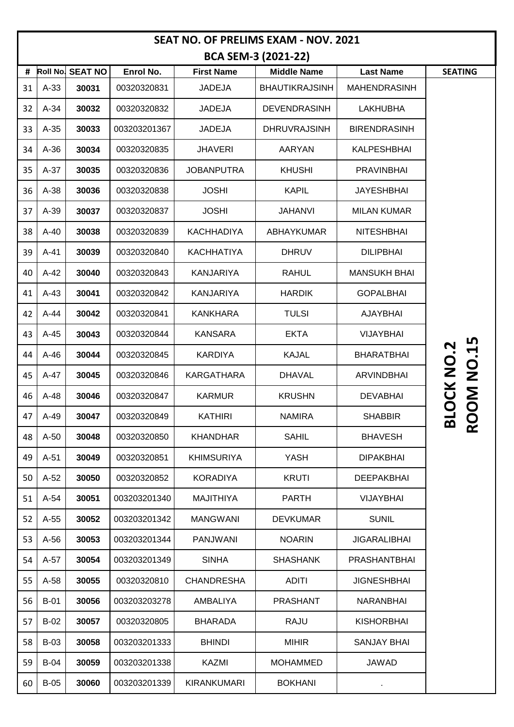| <b>SEAT NO. OF PRELIMS EXAM - NOV. 2021</b> |                 |                |              |                    |                       |                     |                                   |  |
|---------------------------------------------|-----------------|----------------|--------------|--------------------|-----------------------|---------------------|-----------------------------------|--|
| <b>BCA SEM-3 (2021-22)</b>                  |                 |                |              |                    |                       |                     |                                   |  |
| #                                           | <b>Roll No.</b> | <b>SEAT NO</b> | Enrol No.    | <b>First Name</b>  | <b>Middle Name</b>    | <b>Last Name</b>    | <b>SEATING</b>                    |  |
| 31                                          | $A-33$          | 30031          | 00320320831  | <b>JADEJA</b>      | <b>BHAUTIKRAJSINH</b> | <b>MAHENDRASINH</b> |                                   |  |
| 32                                          | $A-34$          | 30032          | 00320320832  | <b>JADEJA</b>      | <b>DEVENDRASINH</b>   | <b>LAKHUBHA</b>     |                                   |  |
| 33                                          | $A-35$          | 30033          | 003203201367 | <b>JADEJA</b>      | <b>DHRUVRAJSINH</b>   | <b>BIRENDRASINH</b> |                                   |  |
| 34                                          | $A-36$          | 30034          | 00320320835  | <b>JHAVERI</b>     | AARYAN                | KALPESHBHAI         |                                   |  |
| 35                                          | $A-37$          | 30035          | 00320320836  | <b>JOBANPUTRA</b>  | <b>KHUSHI</b>         | <b>PRAVINBHAI</b>   |                                   |  |
| 36                                          | $A-38$          | 30036          | 00320320838  | <b>JOSHI</b>       | <b>KAPIL</b>          | <b>JAYESHBHAI</b>   |                                   |  |
| 37                                          | $A-39$          | 30037          | 00320320837  | <b>JOSHI</b>       | <b>JAHANVI</b>        | <b>MILAN KUMAR</b>  |                                   |  |
| 38                                          | A-40            | 30038          | 00320320839  | <b>KACHHADIYA</b>  | <b>ABHAYKUMAR</b>     | <b>NITESHBHAI</b>   |                                   |  |
| 39                                          | $A-41$          | 30039          | 00320320840  | <b>KACHHATIYA</b>  | <b>DHRUV</b>          | <b>DILIPBHAI</b>    |                                   |  |
| 40                                          | $A-42$          | 30040          | 00320320843  | <b>KANJARIYA</b>   | <b>RAHUL</b>          | <b>MANSUKH BHAI</b> |                                   |  |
| 41                                          | $A-43$          | 30041          | 00320320842  | <b>KANJARIYA</b>   | <b>HARDIK</b>         | <b>GOPALBHAI</b>    |                                   |  |
| 42                                          | $A-44$          | 30042          | 00320320841  | KANKHARA           | <b>TULSI</b>          | AJAYBHAI            |                                   |  |
| 43                                          | $A-45$          | 30043          | 00320320844  | <b>KANSARA</b>     | <b>EKTA</b>           | <b>VIJAYBHAI</b>    | ഥ                                 |  |
| 44                                          | $A-46$          | 30044          | 00320320845  | <b>KARDIYA</b>     | <b>KAJAL</b>          | <b>BHARATBHAI</b>   | <u>่ว</u><br>$\blacktriangleleft$ |  |
| 45                                          | A-47            | 30045          | 00320320846  | <b>KARGATHARA</b>  | <b>DHAVAL</b>         | <b>ARVINDBHAI</b>   | OCK NO<br>$\overline{Q}$          |  |
| 46                                          | $A-48$          | 30046          | 00320320847  | <b>KARMUR</b>      | <b>KRUSHN</b>         | <b>DEVABHAI</b>     | <b>NO</b>                         |  |
| 47                                          | A-49            | 30047          | 00320320849  | KATHIRI            | <b>NAMIRA</b>         | <b>SHABBIR</b>      | മ                                 |  |
| 48                                          | $A-50$          | 30048          | 00320320850  | <b>KHANDHAR</b>    | <b>SAHIL</b>          | <b>BHAVESH</b>      |                                   |  |
| 49                                          | $A-51$          | 30049          | 00320320851  | <b>KHIMSURIYA</b>  | YASH                  | <b>DIPAKBHAI</b>    |                                   |  |
| 50                                          | $A-52$          | 30050          | 00320320852  | <b>KORADIYA</b>    | <b>KRUTI</b>          | <b>DEEPAKBHAI</b>   |                                   |  |
| 51                                          | $A-54$          | 30051          | 003203201340 | <b>MAJITHIYA</b>   | <b>PARTH</b>          | <b>VIJAYBHAI</b>    |                                   |  |
| 52                                          | $A-55$          | 30052          | 003203201342 | <b>MANGWANI</b>    | <b>DEVKUMAR</b>       | <b>SUNIL</b>        |                                   |  |
| 53                                          | $A-56$          | 30053          | 003203201344 | <b>PANJWANI</b>    | <b>NOARIN</b>         | <b>JIGARALIBHAI</b> |                                   |  |
| 54                                          | $A-57$          | 30054          | 003203201349 | <b>SINHA</b>       | <b>SHASHANK</b>       | PRASHANTBHAI        |                                   |  |
| 55                                          | $A-58$          | 30055          | 00320320810  | <b>CHANDRESHA</b>  | <b>ADITI</b>          | <b>JIGNESHBHAI</b>  |                                   |  |
| 56                                          | $B-01$          | 30056          | 003203203278 | AMBALIYA           | <b>PRASHANT</b>       | <b>NARANBHAI</b>    |                                   |  |
| 57                                          | $B-02$          | 30057          | 00320320805  | <b>BHARADA</b>     | RAJU                  | <b>KISHORBHAI</b>   |                                   |  |
| 58                                          | $B-03$          | 30058          | 003203201333 | <b>BHINDI</b>      | <b>MIHIR</b>          | <b>SANJAY BHAI</b>  |                                   |  |
| 59                                          | $B-04$          | 30059          | 003203201338 | <b>KAZMI</b>       | <b>MOHAMMED</b>       | JAWAD               |                                   |  |
| 60                                          | $B-05$          | 30060          | 003203201339 | <b>KIRANKUMARI</b> | <b>BOKHANI</b>        |                     |                                   |  |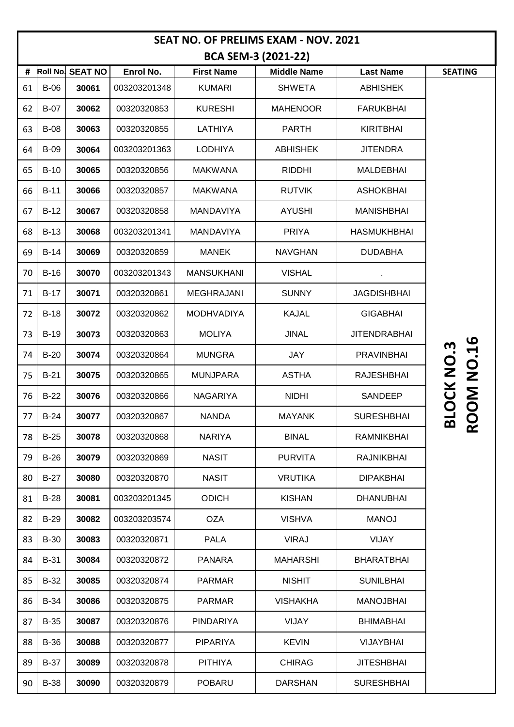| <b>SEAT NO. OF PRELIMS EXAM - NOV. 2021</b> |             |                  |              |                   |                    |                     |                                  |  |
|---------------------------------------------|-------------|------------------|--------------|-------------------|--------------------|---------------------|----------------------------------|--|
| <b>BCA SEM-3 (2021-22)</b>                  |             |                  |              |                   |                    |                     |                                  |  |
| #                                           |             | Roll No. SEAT NO | Enrol No.    | <b>First Name</b> | <b>Middle Name</b> | <b>Last Name</b>    | <b>SEATING</b>                   |  |
| 61                                          | $B-06$      | 30061            | 003203201348 | <b>KUMARI</b>     | <b>SHWETA</b>      | <b>ABHISHEK</b>     |                                  |  |
| 62                                          | $B-07$      | 30062            | 00320320853  | <b>KURESHI</b>    | <b>MAHENOOR</b>    | <b>FARUKBHAI</b>    |                                  |  |
| 63                                          | <b>B-08</b> | 30063            | 00320320855  | <b>LATHIYA</b>    | <b>PARTH</b>       | <b>KIRITBHAI</b>    |                                  |  |
| 64                                          | <b>B-09</b> | 30064            | 003203201363 | <b>LODHIYA</b>    | <b>ABHISHEK</b>    | <b>JITENDRA</b>     |                                  |  |
| 65                                          | $B-10$      | 30065            | 00320320856  | <b>MAKWANA</b>    | <b>RIDDHI</b>      | <b>MALDEBHAI</b>    |                                  |  |
| 66                                          | $B-11$      | 30066            | 00320320857  | <b>MAKWANA</b>    | <b>RUTVIK</b>      | <b>ASHOKBHAI</b>    |                                  |  |
| 67                                          | $B-12$      | 30067            | 00320320858  | MANDAVIYA         | <b>AYUSHI</b>      | <b>MANISHBHAI</b>   |                                  |  |
| 68                                          | $B-13$      | 30068            | 003203201341 | <b>MANDAVIYA</b>  | <b>PRIYA</b>       | <b>HASMUKHBHAI</b>  |                                  |  |
| 69                                          | $B-14$      | 30069            | 00320320859  | <b>MANEK</b>      | <b>NAVGHAN</b>     | <b>DUDABHA</b>      |                                  |  |
| 70                                          | $B-16$      | 30070            | 003203201343 | <b>MANSUKHANI</b> | <b>VISHAL</b>      |                     |                                  |  |
| 71                                          | $B-17$      | 30071            | 00320320861  | <b>MEGHRAJANI</b> | <b>SUNNY</b>       | <b>JAGDISHBHAI</b>  |                                  |  |
| 72                                          | $B-18$      | 30072            | 00320320862  | <b>MODHVADIYA</b> | <b>KAJAL</b>       | <b>GIGABHAI</b>     |                                  |  |
| 73                                          | $B-19$      | 30073            | 00320320863  | <b>MOLIYA</b>     | <b>JINAL</b>       | <b>JITENDRABHAI</b> | <u>ဖ</u>                         |  |
| 74                                          | $B-20$      | 30074            | 00320320864  | <b>MUNGRA</b>     | JAY                | <b>PRAVINBHAI</b>   | <u>ო</u>                         |  |
| 75                                          | $B-21$      | 30075            | 00320320865  | <b>MUNJPARA</b>   | <b>ASTHA</b>       | <b>RAJESHBHAI</b>   | <b>DOM NO.</b><br><b>LOCK NO</b> |  |
| 76                                          | $B-22$      | 30076            | 00320320866  | <b>NAGARIYA</b>   | <b>NIDHI</b>       | SANDEEP             |                                  |  |
| 77                                          | $B-24$      | 30077            | 00320320867  | <b>NANDA</b>      | <b>MAYANK</b>      | <b>SURESHBHAI</b>   | മ                                |  |
| 78                                          | $B-25$      | 30078            | 00320320868  | <b>NARIYA</b>     | <b>BINAL</b>       | RAMNIKBHAI          | ğ                                |  |
| 79                                          | $B-26$      | 30079            | 00320320869  | <b>NASIT</b>      | <b>PURVITA</b>     | <b>RAJNIKBHAI</b>   |                                  |  |
| 80                                          | $B-27$      | 30080            | 00320320870  | <b>NASIT</b>      | <b>VRUTIKA</b>     | <b>DIPAKBHAI</b>    |                                  |  |
| 81                                          | $B-28$      | 30081            | 003203201345 | <b>ODICH</b>      | <b>KISHAN</b>      | <b>DHANUBHAI</b>    |                                  |  |
| 82                                          | $B-29$      | 30082            | 003203203574 | <b>OZA</b>        | <b>VISHVA</b>      | <b>MANOJ</b>        |                                  |  |
| 83                                          | <b>B-30</b> | 30083            | 00320320871  | <b>PALA</b>       | <b>VIRAJ</b>       | <b>VIJAY</b>        |                                  |  |
| 84                                          | $B-31$      | 30084            | 00320320872  | <b>PANARA</b>     | <b>MAHARSHI</b>    | <b>BHARATBHAI</b>   |                                  |  |
| 85                                          | B-32        | 30085            | 00320320874  | <b>PARMAR</b>     | <b>NISHIT</b>      | <b>SUNILBHAI</b>    |                                  |  |
| 86                                          | <b>B-34</b> | 30086            | 00320320875  | <b>PARMAR</b>     | <b>VISHAKHA</b>    | <b>MANOJBHAI</b>    |                                  |  |
| 87                                          | <b>B-35</b> | 30087            | 00320320876  | <b>PINDARIYA</b>  | VIJAY              | <b>BHIMABHAI</b>    |                                  |  |
| 88                                          | <b>B-36</b> | 30088            | 00320320877  | <b>PIPARIYA</b>   | <b>KEVIN</b>       | <b>VIJAYBHAI</b>    |                                  |  |
| 89                                          | <b>B-37</b> | 30089            | 00320320878  | <b>PITHIYA</b>    | <b>CHIRAG</b>      | <b>JITESHBHAI</b>   |                                  |  |
| 90                                          | <b>B-38</b> | 30090            | 00320320879  | <b>POBARU</b>     | <b>DARSHAN</b>     | <b>SURESHBHAI</b>   |                                  |  |